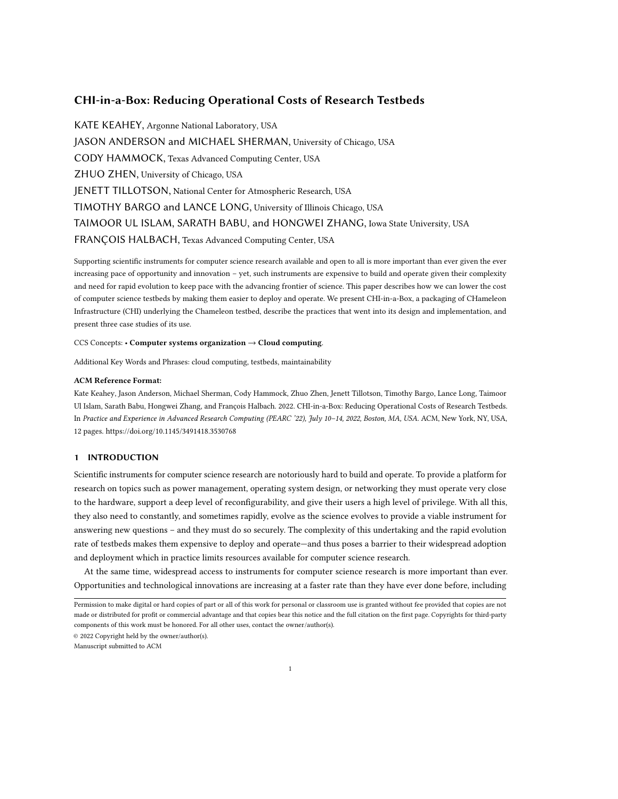# CHI-in-a-Box: Reducing Operational Costs of Research Testbeds

KATE KEAHEY, Argonne National Laboratory, USA JASON ANDERSON and MICHAEL SHERMAN, University of Chicago, USA CODY HAMMOCK, Texas Advanced Computing Center, USA ZHUO ZHEN, University of Chicago, USA JENETT TILLOTSON, National Center for Atmospheric Research, USA TIMOTHY BARGO and LANCE LONG, University of Illinois Chicago, USA TAIMOOR UL ISLAM, SARATH BABU, and HONGWEI ZHANG, Iowa State University, USA FRANÇOIS HALBACH, Texas Advanced Computing Center, USA

Supporting scientific instruments for computer science research available and open to all is more important than ever given the ever increasing pace of opportunity and innovation – yet, such instruments are expensive to build and operate given their complexity and need for rapid evolution to keep pace with the advancing frontier of science. This paper describes how we can lower the cost of computer science testbeds by making them easier to deploy and operate. We present CHI-in-a-Box, a packaging of CHameleon Infrastructure (CHI) underlying the Chameleon testbed, describe the practices that went into its design and implementation, and present three case studies of its use.

#### CCS Concepts: • Computer systems organization → Cloud computing.

Additional Key Words and Phrases: cloud computing, testbeds, maintainability

### ACM Reference Format:

Kate Keahey, Jason Anderson, Michael Sherman, Cody Hammock, Zhuo Zhen, Jenett Tillotson, Timothy Bargo, Lance Long, Taimoor Ul Islam, Sarath Babu, Hongwei Zhang, and François Halbach. 2022. CHI-in-a-Box: Reducing Operational Costs of Research Testbeds. In Practice and Experience in Advanced Research Computing (PEARC '22), July 10–14, 2022, Boston, MA, USA. ACM, New York, NY, USA, [12](#page-11-0) pages.<https://doi.org/10.1145/3491418.3530768>

## 1 INTRODUCTION

Scientific instruments for computer science research are notoriously hard to build and operate. To provide a platform for research on topics such as power management, operating system design, or networking they must operate very close to the hardware, support a deep level of reconfigurability, and give their users a high level of privilege. With all this, they also need to constantly, and sometimes rapidly, evolve as the science evolves to provide a viable instrument for answering new questions – and they must do so securely. The complexity of this undertaking and the rapid evolution rate of testbeds makes them expensive to deploy and operate—and thus poses a barrier to their widespread adoption and deployment which in practice limits resources available for computer science research.

At the same time, widespread access to instruments for computer science research is more important than ever. Opportunities and technological innovations are increasing at a faster rate than they have ever done before, including

© 2022 Copyright held by the owner/author(s).

Manuscript submitted to ACM

Permission to make digital or hard copies of part or all of this work for personal or classroom use is granted without fee provided that copies are not made or distributed for profit or commercial advantage and that copies bear this notice and the full citation on the first page. Copyrights for third-party components of this work must be honored. For all other uses, contact the owner/author(s).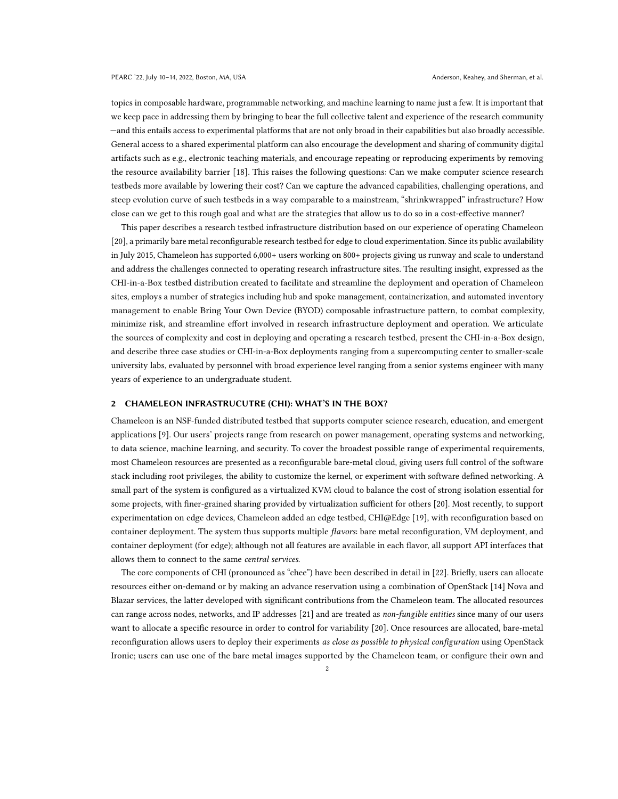topics in composable hardware, programmable networking, and machine learning to name just a few. It is important that we keep pace in addressing them by bringing to bear the full collective talent and experience of the research community —and this entails access to experimental platforms that are not only broad in their capabilities but also broadly accessible. General access to a shared experimental platform can also encourage the development and sharing of community digital artifacts such as e.g., electronic teaching materials, and encourage repeating or reproducing experiments by removing the resource availability barrier [\[18\]](#page-11-1). This raises the following questions: Can we make computer science research testbeds more available by lowering their cost? Can we capture the advanced capabilities, challenging operations, and steep evolution curve of such testbeds in a way comparable to a mainstream, "shrinkwrapped" infrastructure? How close can we get to this rough goal and what are the strategies that allow us to do so in a cost-effective manner?

This paper describes a research testbed infrastructure distribution based on our experience of operating Chameleon [\[20\]](#page-11-2), a primarily bare metal reconfigurable research testbed for edge to cloud experimentation. Since its public availability in July 2015, Chameleon has supported 6,000+ users working on 800+ projects giving us runway and scale to understand and address the challenges connected to operating research infrastructure sites. The resulting insight, expressed as the CHI-in-a-Box testbed distribution created to facilitate and streamline the deployment and operation of Chameleon sites, employs a number of strategies including hub and spoke management, containerization, and automated inventory management to enable Bring Your Own Device (BYOD) composable infrastructure pattern, to combat complexity, minimize risk, and streamline effort involved in research infrastructure deployment and operation. We articulate the sources of complexity and cost in deploying and operating a research testbed, present the CHI-in-a-Box design, and describe three case studies or CHI-in-a-Box deployments ranging from a supercomputing center to smaller-scale university labs, evaluated by personnel with broad experience level ranging from a senior systems engineer with many years of experience to an undergraduate student.

## 2 CHAMELEON INFRASTRUCUTRE (CHI): WHAT'S IN THE BOX?

Chameleon is an NSF-funded distributed testbed that supports computer science research, education, and emergent applications [\[9\]](#page-11-3). Our users' projects range from research on power management, operating systems and networking, to data science, machine learning, and security. To cover the broadest possible range of experimental requirements, most Chameleon resources are presented as a reconfigurable bare-metal cloud, giving users full control of the software stack including root privileges, the ability to customize the kernel, or experiment with software defined networking. A small part of the system is configured as a virtualized KVM cloud to balance the cost of strong isolation essential for some projects, with finer-grained sharing provided by virtualization sufficient for others [\[20\]](#page-11-2). Most recently, to support experimentation on edge devices, Chameleon added an edge testbed, CHI@Edge [\[19\]](#page-11-4), with reconfiguration based on container deployment. The system thus supports multiple *flavors*: bare metal reconfiguration, VM deployment, and container deployment (for edge); although not all features are available in each flavor, all support API interfaces that allows them to connect to the same central services.

The core components of CHI (pronounced as "chee") have been described in detail in [\[22\]](#page-11-5). Briefly, users can allocate resources either on-demand or by making an advance reservation using a combination of OpenStack [\[14\]](#page-11-6) Nova and Blazar services, the latter developed with significant contributions from the Chameleon team. The allocated resources can range across nodes, networks, and IP addresses [\[21\]](#page-11-7) and are treated as non-fungible entities since many of our users want to allocate a specific resource in order to control for variability [\[20\]](#page-11-2). Once resources are allocated, bare-metal reconfiguration allows users to deploy their experiments as close as possible to physical configuration using OpenStack Ironic; users can use one of the bare metal images supported by the Chameleon team, or configure their own and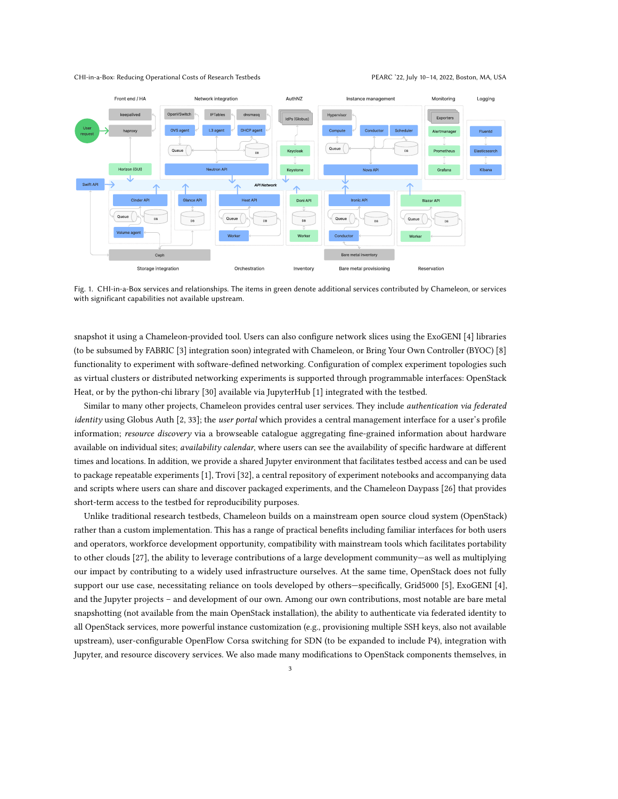#### CHI-in-a-Box: Reducing Operational Costs of Research Testbeds PEARC '22, July 10–14, 2022, Boston, MA, USA



Fig. 1. CHI-in-a-Box services and relationships. The items in green denote additional services contributed by Chameleon, or services with significant capabilities not available upstream.

snapshot it using a Chameleon-provided tool. Users can also configure network slices using the ExoGENI [\[4\]](#page-10-0) libraries (to be subsumed by FABRIC [\[3\]](#page-10-1) integration soon) integrated with Chameleon, or Bring Your Own Controller (BYOC) [\[8\]](#page-11-8) functionality to experiment with software-defined networking. Configuration of complex experiment topologies such as virtual clusters or distributed networking experiments is supported through programmable interfaces: OpenStack Heat, or by the python-chi library [\[30\]](#page-11-9) available via JupyterHub [\[1\]](#page-10-2) integrated with the testbed.

<span id="page-2-0"></span>Similar to many other projects, Chameleon provides central user services. They include *authentication via federated* identity using Globus Auth [\[2,](#page-10-3) [33\]](#page-11-10); the user portal which provides a central management interface for a user's profile information; resource discovery via a browseable catalogue aggregating fine-grained information about hardware available on individual sites; *availability calendar*, where users can see the availability of specific hardware at different times and locations. In addition, we provide a shared Jupyter environment that facilitates testbed access and can be used to package repeatable experiments [\[1\]](#page-10-2), Trovi [\[32\]](#page-11-11), a central repository of experiment notebooks and accompanying data and scripts where users can share and discover packaged experiments, and the Chameleon Daypass [\[26\]](#page-11-12) that provides short-term access to the testbed for reproducibility purposes.

Unlike traditional research testbeds, Chameleon builds on a mainstream open source cloud system (OpenStack) rather than a custom implementation. This has a range of practical benefits including familiar interfaces for both users and operators, workforce development opportunity, compatibility with mainstream tools which facilitates portability to other clouds [\[27\]](#page-11-13), the ability to leverage contributions of a large development community—as well as multiplying our impact by contributing to a widely used infrastructure ourselves. At the same time, OpenStack does not fully support our use case, necessitating reliance on tools developed by others—specifically, Grid5000 [\[5\]](#page-10-4), ExoGENI [\[4\]](#page-10-0), and the Jupyter projects – and development of our own. Among our own contributions, most notable are bare metal snapshotting (not available from the main OpenStack installation), the ability to authenticate via federated identity to all OpenStack services, more powerful instance customization (e.g., provisioning multiple SSH keys, also not available upstream), user-configurable OpenFlow Corsa switching for SDN (to be expanded to include P4), integration with Jupyter, and resource discovery services. We also made many modifications to OpenStack components themselves, in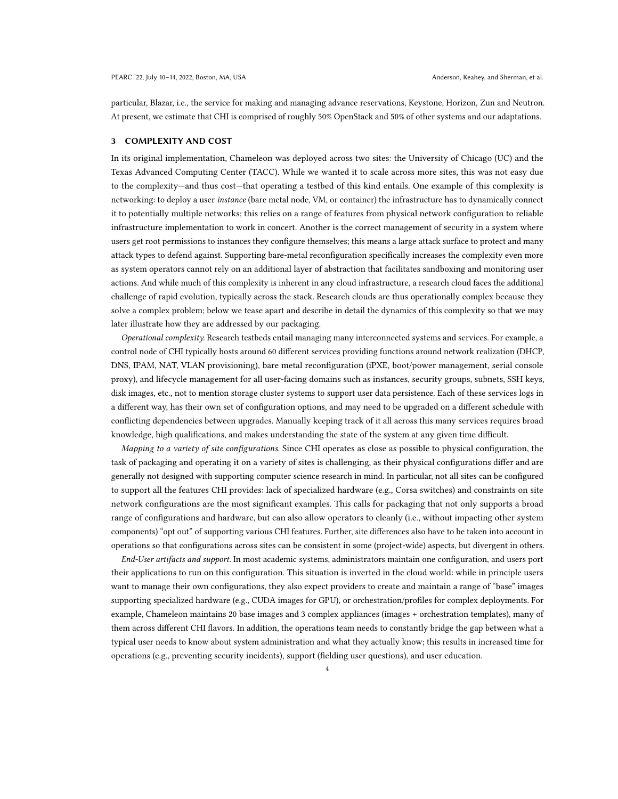particular, Blazar, i.e., the service for making and managing advance reservations, Keystone, Horizon, Zun and Neutron. At present, we estimate that CHI is comprised of roughly 50% OpenStack and 50% of other systems and our adaptations.

#### 3 COMPLEXITY AND COST

In its original implementation, Chameleon was deployed across two sites: the University of Chicago (UC) and the Texas Advanced Computing Center (TACC). While we wanted it to scale across more sites, this was not easy due to the complexity—and thus cost—that operating a testbed of this kind entails. One example of this complexity is networking: to deploy a user *instance* (bare metal node, VM, or container) the infrastructure has to dynamically connect it to potentially multiple networks; this relies on a range of features from physical network configuration to reliable infrastructure implementation to work in concert. Another is the correct management of security in a system where users get root permissions to instances they configure themselves; this means a large attack surface to protect and many attack types to defend against. Supporting bare-metal reconfiguration specifically increases the complexity even more as system operators cannot rely on an additional layer of abstraction that facilitates sandboxing and monitoring user actions. And while much of this complexity is inherent in any cloud infrastructure, a research cloud faces the additional challenge of rapid evolution, typically across the stack. Research clouds are thus operationally complex because they solve a complex problem; below we tease apart and describe in detail the dynamics of this complexity so that we may later illustrate how they are addressed by our packaging.

Operational complexity. Research testbeds entail managing many interconnected systems and services. For example, a control node of CHI typically hosts around 60 different services providing functions around network realization (DHCP, DNS, IPAM, NAT, VLAN provisioning), bare metal reconfiguration (iPXE, boot/power management, serial console proxy), and lifecycle management for all user-facing domains such as instances, security groups, subnets, SSH keys, disk images, etc., not to mention storage cluster systems to support user data persistence. Each of these services logs in a different way, has their own set of configuration options, and may need to be upgraded on a different schedule with conflicting dependencies between upgrades. Manually keeping track of it all across this many services requires broad knowledge, high qualifications, and makes understanding the state of the system at any given time difficult.

Mapping to a variety of site configurations. Since CHI operates as close as possible to physical configuration, the task of packaging and operating it on a variety of sites is challenging, as their physical configurations differ and are generally not designed with supporting computer science research in mind. In particular, not all sites can be configured to support all the features CHI provides: lack of specialized hardware (e.g., Corsa switches) and constraints on site network configurations are the most significant examples. This calls for packaging that not only supports a broad range of configurations and hardware, but can also allow operators to cleanly (i.e., without impacting other system components) "opt out" of supporting various CHI features. Further, site differences also have to be taken into account in operations so that configurations across sites can be consistent in some (project-wide) aspects, but divergent in others.

<span id="page-3-0"></span>End-User artifacts and support. In most academic systems, administrators maintain one configuration, and users port their applications to run on this configuration. This situation is inverted in the cloud world: while in principle users want to manage their own configurations, they also expect providers to create and maintain a range of "base" images supporting specialized hardware (e.g., CUDA images for GPU), or orchestration/profiles for complex deployments. For example, Chameleon maintains 20 base images and 3 complex appliances (images + orchestration templates), many of them across different CHI flavors. In addition, the operations team needs to constantly bridge the gap between what a typical user needs to know about system administration and what they actually know; this results in increased time for operations (e.g., preventing security incidents), support (fielding user questions), and user education.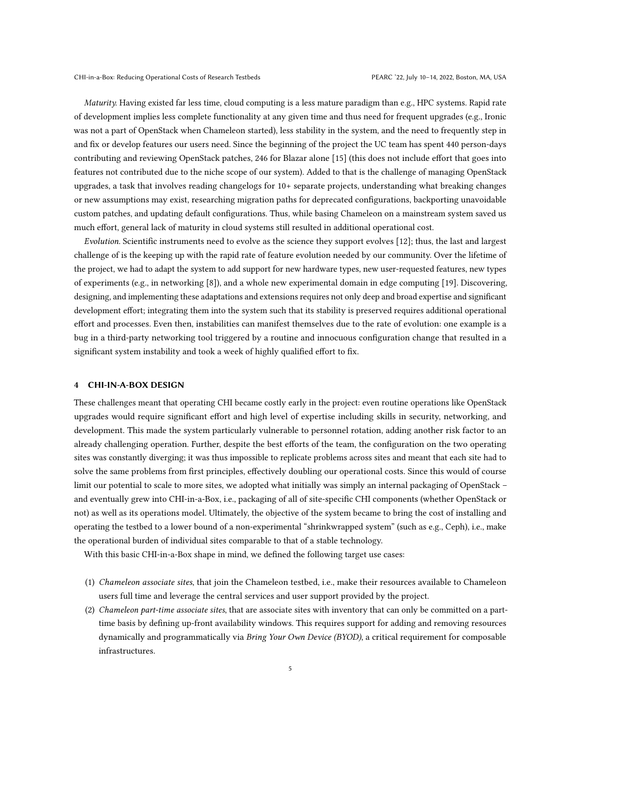Maturity. Having existed far less time, cloud computing is a less mature paradigm than e.g., HPC systems. Rapid rate of development implies less complete functionality at any given time and thus need for frequent upgrades (e.g., Ironic was not a part of OpenStack when Chameleon started), less stability in the system, and the need to frequently step in and fix or develop features our users need. Since the beginning of the project the UC team has spent 440 person-days contributing and reviewing OpenStack patches, 246 for Blazar alone [\[15\]](#page-11-14) (this does not include effort that goes into features not contributed due to the niche scope of our system). Added to that is the challenge of managing OpenStack upgrades, a task that involves reading changelogs for 10+ separate projects, understanding what breaking changes or new assumptions may exist, researching migration paths for deprecated configurations, backporting unavoidable custom patches, and updating default configurations. Thus, while basing Chameleon on a mainstream system saved us much effort, general lack of maturity in cloud systems still resulted in additional operational cost.

Evolution. Scientific instruments need to evolve as the science they support evolves [\[12\]](#page-11-15); thus, the last and largest challenge of is the keeping up with the rapid rate of feature evolution needed by our community. Over the lifetime of the project, we had to adapt the system to add support for new hardware types, new user-requested features, new types of experiments (e.g., in networking [\[8\]](#page-11-8)), and a whole new experimental domain in edge computing [\[19\]](#page-11-4). Discovering, designing, and implementing these adaptations and extensions requires not only deep and broad expertise and significant development effort; integrating them into the system such that its stability is preserved requires additional operational effort and processes. Even then, instabilities can manifest themselves due to the rate of evolution: one example is a bug in a third-party networking tool triggered by a routine and innocuous configuration change that resulted in a significant system instability and took a week of highly qualified effort to fix.

#### 4 CHI-IN-A-BOX DESIGN

These challenges meant that operating CHI became costly early in the project: even routine operations like OpenStack upgrades would require significant effort and high level of expertise including skills in security, networking, and development. This made the system particularly vulnerable to personnel rotation, adding another risk factor to an already challenging operation. Further, despite the best efforts of the team, the configuration on the two operating sites was constantly diverging; it was thus impossible to replicate problems across sites and meant that each site had to solve the same problems from first principles, effectively doubling our operational costs. Since this would of course limit our potential to scale to more sites, we adopted what initially was simply an internal packaging of OpenStack – and eventually grew into CHI-in-a-Box, i.e., packaging of all of site-specific CHI components (whether OpenStack or not) as well as its operations model. Ultimately, the objective of the system became to bring the cost of installing and operating the testbed to a lower bound of a non-experimental "shrinkwrapped system" (such as e.g., Ceph), i.e., make the operational burden of individual sites comparable to that of a stable technology.

With this basic CHI-in-a-Box shape in mind, we defined the following target use cases:

- (1) Chameleon associate sites, that join the Chameleon testbed, i.e., make their resources available to Chameleon users full time and leverage the central services and user support provided by the project.
- (2) Chameleon part-time associate sites, that are associate sites with inventory that can only be committed on a parttime basis by defining up-front availability windows. This requires support for adding and removing resources dynamically and programmatically via Bring Your Own Device (BYOD), a critical requirement for composable infrastructures.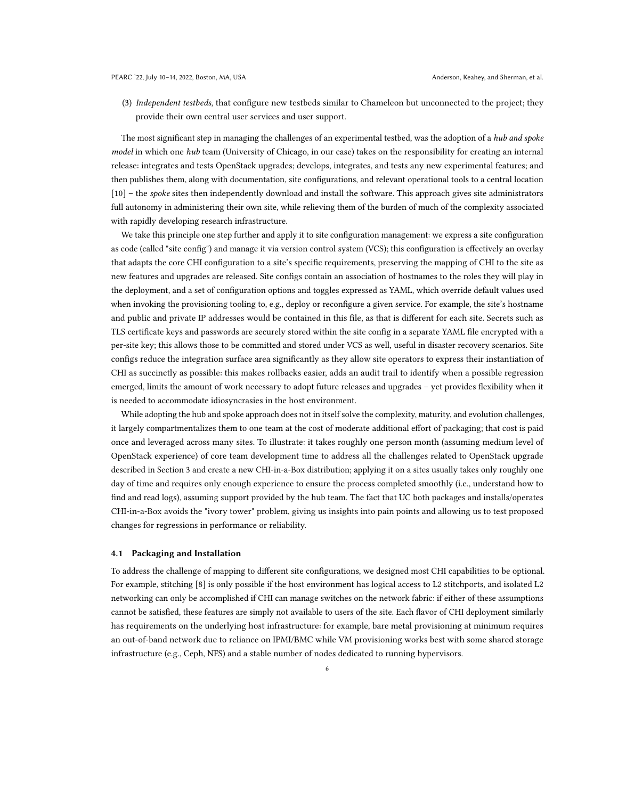(3) Independent testbeds, that configure new testbeds similar to Chameleon but unconnected to the project; they provide their own central user services and user support.

The most significant step in managing the challenges of an experimental testbed, was the adoption of a hub and spoke model in which one hub team (University of Chicago, in our case) takes on the responsibility for creating an internal release: integrates and tests OpenStack upgrades; develops, integrates, and tests any new experimental features; and then publishes them, along with documentation, site configurations, and relevant operational tools to a central location [\[10\]](#page-11-16) – the *spoke* sites then independently download and install the software. This approach gives site administrators full autonomy in administering their own site, while relieving them of the burden of much of the complexity associated with rapidly developing research infrastructure.

We take this principle one step further and apply it to site configuration management: we express a site configuration as code (called "site config") and manage it via version control system (VCS); this configuration is effectively an overlay that adapts the core CHI configuration to a site's specific requirements, preserving the mapping of CHI to the site as new features and upgrades are released. Site configs contain an association of hostnames to the roles they will play in the deployment, and a set of configuration options and toggles expressed as YAML, which override default values used when invoking the provisioning tooling to, e.g., deploy or reconfigure a given service. For example, the site's hostname and public and private IP addresses would be contained in this file, as that is different for each site. Secrets such as TLS certificate keys and passwords are securely stored within the site config in a separate YAML file encrypted with a per-site key; this allows those to be committed and stored under VCS as well, useful in disaster recovery scenarios. Site configs reduce the integration surface area significantly as they allow site operators to express their instantiation of CHI as succinctly as possible: this makes rollbacks easier, adds an audit trail to identify when a possible regression emerged, limits the amount of work necessary to adopt future releases and upgrades – yet provides flexibility when it is needed to accommodate idiosyncrasies in the host environment.

While adopting the hub and spoke approach does not in itself solve the complexity, maturity, and evolution challenges, it largely compartmentalizes them to one team at the cost of moderate additional effort of packaging; that cost is paid once and leveraged across many sites. To illustrate: it takes roughly one person month (assuming medium level of OpenStack experience) of core team development time to address all the challenges related to OpenStack upgrade described in Section [3](#page-3-0) and create a new CHI-in-a-Box distribution; applying it on a sites usually takes only roughly one day of time and requires only enough experience to ensure the process completed smoothly (i.e., understand how to find and read logs), assuming support provided by the hub team. The fact that UC both packages and installs/operates CHI-in-a-Box avoids the "ivory tower" problem, giving us insights into pain points and allowing us to test proposed changes for regressions in performance or reliability.

## 4.1 Packaging and Installation

To address the challenge of mapping to different site configurations, we designed most CHI capabilities to be optional. For example, stitching [\[8\]](#page-11-8) is only possible if the host environment has logical access to L2 stitchports, and isolated L2 networking can only be accomplished if CHI can manage switches on the network fabric: if either of these assumptions cannot be satisfied, these features are simply not available to users of the site. Each flavor of CHI deployment similarly has requirements on the underlying host infrastructure: for example, bare metal provisioning at minimum requires an out-of-band network due to reliance on IPMI/BMC while VM provisioning works best with some shared storage infrastructure (e.g., Ceph, NFS) and a stable number of nodes dedicated to running hypervisors.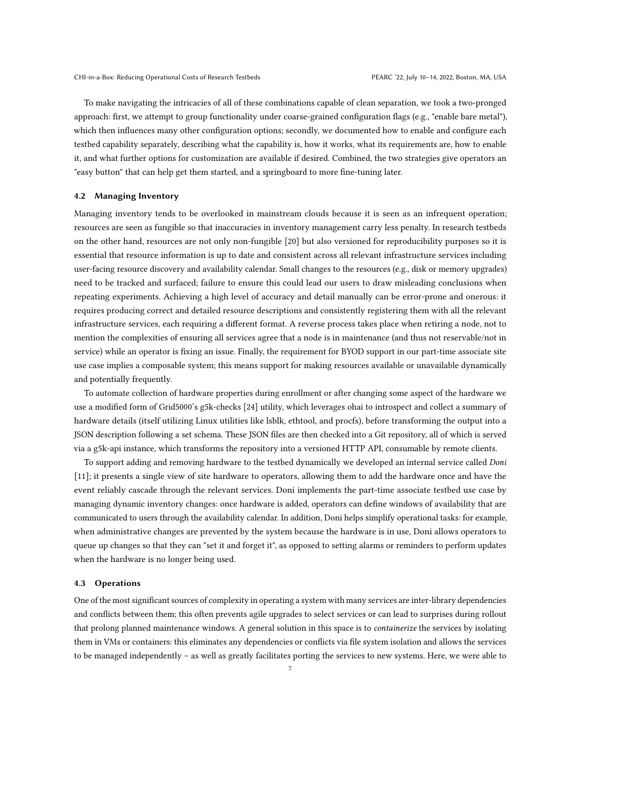To make navigating the intricacies of all of these combinations capable of clean separation, we took a two-pronged approach: first, we attempt to group functionality under coarse-grained configuration flags (e.g., "enable bare metal"), which then influences many other configuration options; secondly, we documented how to enable and configure each testbed capability separately, describing what the capability is, how it works, what its requirements are, how to enable it, and what further options for customization are available if desired. Combined, the two strategies give operators an "easy button" that can help get them started, and a springboard to more fine-tuning later.

#### 4.2 Managing Inventory

Managing inventory tends to be overlooked in mainstream clouds because it is seen as an infrequent operation; resources are seen as fungible so that inaccuracies in inventory management carry less penalty. In research testbeds on the other hand, resources are not only non-fungible [\[20\]](#page-11-2) but also versioned for reproducibility purposes so it is essential that resource information is up to date and consistent across all relevant infrastructure services including user-facing resource discovery and availability calendar. Small changes to the resources (e.g., disk or memory upgrades) need to be tracked and surfaced; failure to ensure this could lead our users to draw misleading conclusions when repeating experiments. Achieving a high level of accuracy and detail manually can be error-prone and onerous: it requires producing correct and detailed resource descriptions and consistently registering them with all the relevant infrastructure services, each requiring a different format. A reverse process takes place when retiring a node, not to mention the complexities of ensuring all services agree that a node is in maintenance (and thus not reservable/not in service) while an operator is fixing an issue. Finally, the requirement for BYOD support in our part-time associate site use case implies a composable system; this means support for making resources available or unavailable dynamically and potentially frequently.

To automate collection of hardware properties during enrollment or after changing some aspect of the hardware we use a modified form of Grid5000's g5k-checks [\[24\]](#page-11-17) utility, which leverages ohai to introspect and collect a summary of hardware details (itself utilizing Linux utilities like lsblk, ethtool, and procfs), before transforming the output into a JSON description following a set schema. These JSON files are then checked into a Git repository, all of which is served via a g5k-api instance, which transforms the repository into a versioned HTTP API, consumable by remote clients.

To support adding and removing hardware to the testbed dynamically we developed an internal service called Doni [\[11\]](#page-11-18); it presents a single view of site hardware to operators, allowing them to add the hardware once and have the event reliably cascade through the relevant services. Doni implements the part-time associate testbed use case by managing dynamic inventory changes: once hardware is added, operators can define windows of availability that are communicated to users through the availability calendar. In addition, Doni helps simplify operational tasks: for example, when administrative changes are prevented by the system because the hardware is in use, Doni allows operators to queue up changes so that they can "set it and forget it", as opposed to setting alarms or reminders to perform updates when the hardware is no longer being used.

## 4.3 Operations

One of the most significant sources of complexity in operating a system with many services are inter-library dependencies and conflicts between them; this often prevents agile upgrades to select services or can lead to surprises during rollout that prolong planned maintenance windows. A general solution in this space is to *containerize* the services by isolating them in VMs or containers: this eliminates any dependencies or conflicts via file system isolation and allows the services to be managed independently – as well as greatly facilitates porting the services to new systems. Here, we were able to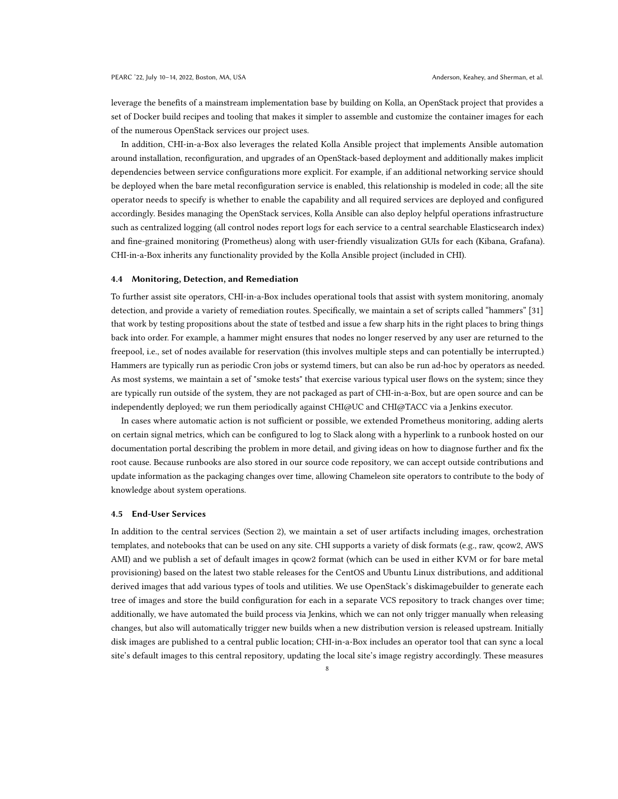leverage the benefits of a mainstream implementation base by building on Kolla, an OpenStack project that provides a set of Docker build recipes and tooling that makes it simpler to assemble and customize the container images for each of the numerous OpenStack services our project uses.

In addition, CHI-in-a-Box also leverages the related Kolla Ansible project that implements Ansible automation around installation, reconfiguration, and upgrades of an OpenStack-based deployment and additionally makes implicit dependencies between service configurations more explicit. For example, if an additional networking service should be deployed when the bare metal reconfiguration service is enabled, this relationship is modeled in code; all the site operator needs to specify is whether to enable the capability and all required services are deployed and configured accordingly. Besides managing the OpenStack services, Kolla Ansible can also deploy helpful operations infrastructure such as centralized logging (all control nodes report logs for each service to a central searchable Elasticsearch index) and fine-grained monitoring (Prometheus) along with user-friendly visualization GUIs for each (Kibana, Grafana). CHI-in-a-Box inherits any functionality provided by the Kolla Ansible project (included in CHI).

#### 4.4 Monitoring, Detection, and Remediation

To further assist site operators, CHI-in-a-Box includes operational tools that assist with system monitoring, anomaly detection, and provide a variety of remediation routes. Specifically, we maintain a set of scripts called "hammers" [\[31\]](#page-11-19) that work by testing propositions about the state of testbed and issue a few sharp hits in the right places to bring things back into order. For example, a hammer might ensures that nodes no longer reserved by any user are returned to the freepool, i.e., set of nodes available for reservation (this involves multiple steps and can potentially be interrupted.) Hammers are typically run as periodic Cron jobs or systemd timers, but can also be run ad-hoc by operators as needed. As most systems, we maintain a set of "smoke tests" that exercise various typical user flows on the system; since they are typically run outside of the system, they are not packaged as part of CHI-in-a-Box, but are open source and can be independently deployed; we run them periodically against CHI@UC and CHI@TACC via a Jenkins executor.

In cases where automatic action is not sufficient or possible, we extended Prometheus monitoring, adding alerts on certain signal metrics, which can be configured to log to Slack along with a hyperlink to a runbook hosted on our documentation portal describing the problem in more detail, and giving ideas on how to diagnose further and fix the root cause. Because runbooks are also stored in our source code repository, we can accept outside contributions and update information as the packaging changes over time, allowing Chameleon site operators to contribute to the body of knowledge about system operations.

#### 4.5 End-User Services

In addition to the central services (Section [2\)](#page-2-0), we maintain a set of user artifacts including images, orchestration templates, and notebooks that can be used on any site. CHI supports a variety of disk formats (e.g., raw, qcow2, AWS AMI) and we publish a set of default images in qcow2 format (which can be used in either KVM or for bare metal provisioning) based on the latest two stable releases for the CentOS and Ubuntu Linux distributions, and additional derived images that add various types of tools and utilities. We use OpenStack's diskimagebuilder to generate each tree of images and store the build configuration for each in a separate VCS repository to track changes over time; additionally, we have automated the build process via Jenkins, which we can not only trigger manually when releasing changes, but also will automatically trigger new builds when a new distribution version is released upstream. Initially disk images are published to a central public location; CHI-in-a-Box includes an operator tool that can sync a local site's default images to this central repository, updating the local site's image registry accordingly. These measures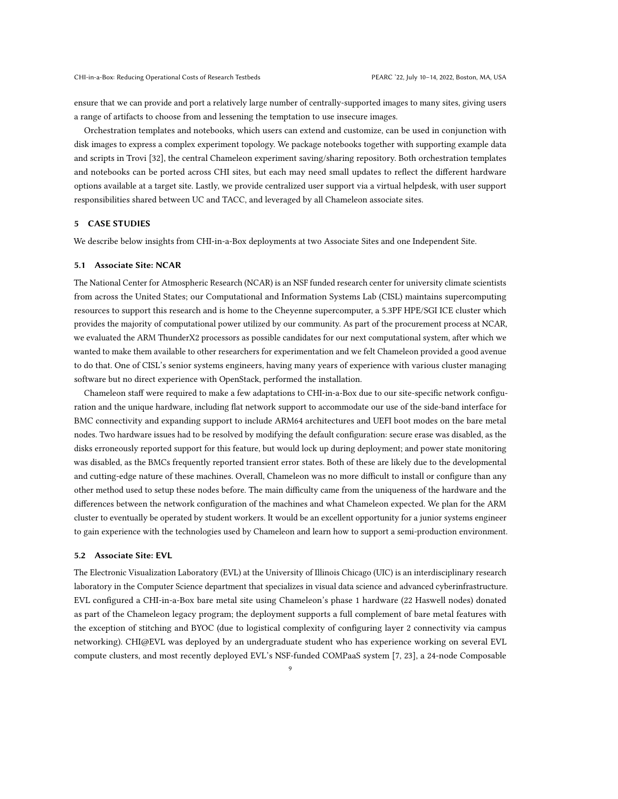ensure that we can provide and port a relatively large number of centrally-supported images to many sites, giving users a range of artifacts to choose from and lessening the temptation to use insecure images.

Orchestration templates and notebooks, which users can extend and customize, can be used in conjunction with disk images to express a complex experiment topology. We package notebooks together with supporting example data and scripts in Trovi [\[32\]](#page-11-11), the central Chameleon experiment saving/sharing repository. Both orchestration templates and notebooks can be ported across CHI sites, but each may need small updates to reflect the different hardware options available at a target site. Lastly, we provide centralized user support via a virtual helpdesk, with user support responsibilities shared between UC and TACC, and leveraged by all Chameleon associate sites.

## 5 CASE STUDIES

We describe below insights from CHI-in-a-Box deployments at two Associate Sites and one Independent Site.

### 5.1 Associate Site: NCAR

The National Center for Atmospheric Research (NCAR) is an NSF funded research center for university climate scientists from across the United States; our Computational and Information Systems Lab (CISL) maintains supercomputing resources to support this research and is home to the Cheyenne supercomputer, a 5.3PF HPE/SGI ICE cluster which provides the majority of computational power utilized by our community. As part of the procurement process at NCAR, we evaluated the ARM ThunderX2 processors as possible candidates for our next computational system, after which we wanted to make them available to other researchers for experimentation and we felt Chameleon provided a good avenue to do that. One of CISL's senior systems engineers, having many years of experience with various cluster managing software but no direct experience with OpenStack, performed the installation.

Chameleon staff were required to make a few adaptations to CHI-in-a-Box due to our site-specific network configuration and the unique hardware, including flat network support to accommodate our use of the side-band interface for BMC connectivity and expanding support to include ARM64 architectures and UEFI boot modes on the bare metal nodes. Two hardware issues had to be resolved by modifying the default configuration: secure erase was disabled, as the disks erroneously reported support for this feature, but would lock up during deployment; and power state monitoring was disabled, as the BMCs frequently reported transient error states. Both of these are likely due to the developmental and cutting-edge nature of these machines. Overall, Chameleon was no more difficult to install or configure than any other method used to setup these nodes before. The main difficulty came from the uniqueness of the hardware and the differences between the network configuration of the machines and what Chameleon expected. We plan for the ARM cluster to eventually be operated by student workers. It would be an excellent opportunity for a junior systems engineer to gain experience with the technologies used by Chameleon and learn how to support a semi-production environment.

#### 5.2 Associate Site: EVL

The Electronic Visualization Laboratory (EVL) at the University of Illinois Chicago (UIC) is an interdisciplinary research laboratory in the Computer Science department that specializes in visual data science and advanced cyberinfrastructure. EVL configured a CHI-in-a-Box bare metal site using Chameleon's phase 1 hardware (22 Haswell nodes) donated as part of the Chameleon legacy program; the deployment supports a full complement of bare metal features with the exception of stitching and BYOC (due to logistical complexity of configuring layer 2 connectivity via campus networking). CHI@EVL was deployed by an undergraduate student who has experience working on several EVL compute clusters, and most recently deployed EVL's NSF-funded COMPaaS system [\[7,](#page-11-20) [23\]](#page-11-21), a 24-node Composable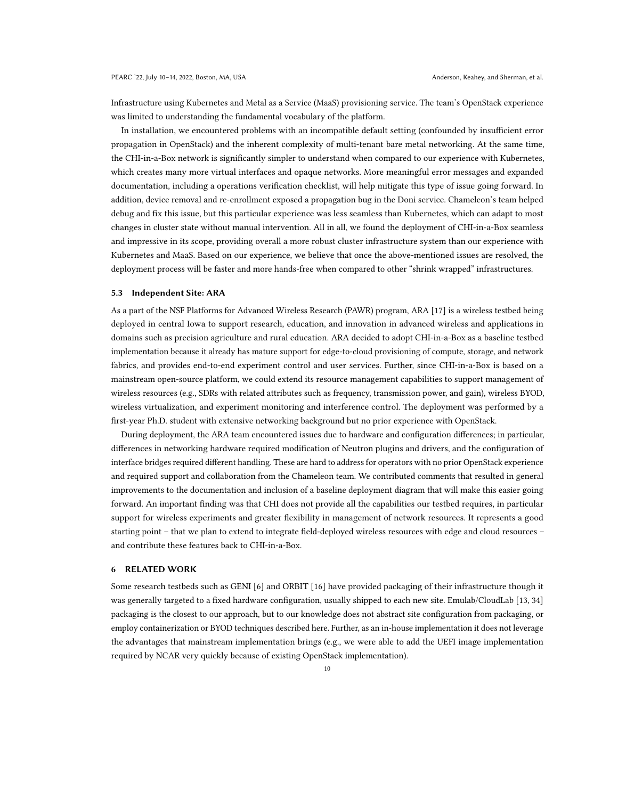Infrastructure using Kubernetes and Metal as a Service (MaaS) provisioning service. The team's OpenStack experience was limited to understanding the fundamental vocabulary of the platform.

In installation, we encountered problems with an incompatible default setting (confounded by insufficient error propagation in OpenStack) and the inherent complexity of multi-tenant bare metal networking. At the same time, the CHI-in-a-Box network is significantly simpler to understand when compared to our experience with Kubernetes, which creates many more virtual interfaces and opaque networks. More meaningful error messages and expanded documentation, including a operations verification checklist, will help mitigate this type of issue going forward. In addition, device removal and re-enrollment exposed a propagation bug in the Doni service. Chameleon's team helped debug and fix this issue, but this particular experience was less seamless than Kubernetes, which can adapt to most changes in cluster state without manual intervention. All in all, we found the deployment of CHI-in-a-Box seamless and impressive in its scope, providing overall a more robust cluster infrastructure system than our experience with Kubernetes and MaaS. Based on our experience, we believe that once the above-mentioned issues are resolved, the deployment process will be faster and more hands-free when compared to other "shrink wrapped" infrastructures.

#### 5.3 Independent Site: ARA

As a part of the NSF Platforms for Advanced Wireless Research (PAWR) program, ARA [\[17\]](#page-11-22) is a wireless testbed being deployed in central Iowa to support research, education, and innovation in advanced wireless and applications in domains such as precision agriculture and rural education. ARA decided to adopt CHI-in-a-Box as a baseline testbed implementation because it already has mature support for edge-to-cloud provisioning of compute, storage, and network fabrics, and provides end-to-end experiment control and user services. Further, since CHI-in-a-Box is based on a mainstream open-source platform, we could extend its resource management capabilities to support management of wireless resources (e.g., SDRs with related attributes such as frequency, transmission power, and gain), wireless BYOD, wireless virtualization, and experiment monitoring and interference control. The deployment was performed by a first-year Ph.D. student with extensive networking background but no prior experience with OpenStack.

During deployment, the ARA team encountered issues due to hardware and configuration differences; in particular, differences in networking hardware required modification of Neutron plugins and drivers, and the configuration of interface bridges required different handling. These are hard to address for operators with no prior OpenStack experience and required support and collaboration from the Chameleon team. We contributed comments that resulted in general improvements to the documentation and inclusion of a baseline deployment diagram that will make this easier going forward. An important finding was that CHI does not provide all the capabilities our testbed requires, in particular support for wireless experiments and greater flexibility in management of network resources. It represents a good starting point – that we plan to extend to integrate field-deployed wireless resources with edge and cloud resources – and contribute these features back to CHI-in-a-Box.

## 6 RELATED WORK

Some research testbeds such as GENI [\[6\]](#page-10-5) and ORBIT [\[16\]](#page-11-23) have provided packaging of their infrastructure though it was generally targeted to a fixed hardware configuration, usually shipped to each new site. Emulab/CloudLab [\[13,](#page-11-24) [34\]](#page-11-25) packaging is the closest to our approach, but to our knowledge does not abstract site configuration from packaging, or employ containerization or BYOD techniques described here. Further, as an in-house implementation it does not leverage the advantages that mainstream implementation brings (e.g., we were able to add the UEFI image implementation required by NCAR very quickly because of existing OpenStack implementation).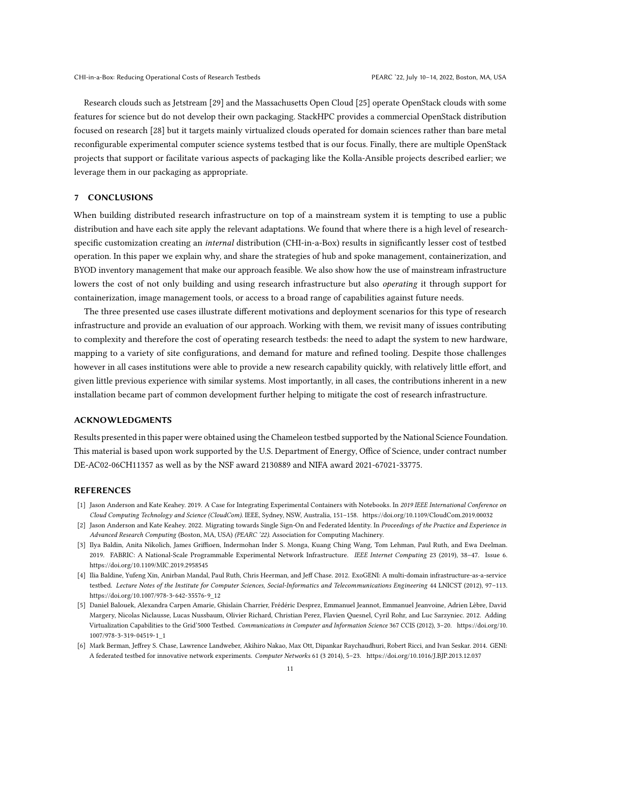Research clouds such as Jetstream [\[29\]](#page-11-26) and the Massachusetts Open Cloud [\[25\]](#page-11-27) operate OpenStack clouds with some features for science but do not develop their own packaging. StackHPC provides a commercial OpenStack distribution focused on research [\[28\]](#page-11-28) but it targets mainly virtualized clouds operated for domain sciences rather than bare metal reconfigurable experimental computer science systems testbed that is our focus. Finally, there are multiple OpenStack projects that support or facilitate various aspects of packaging like the Kolla-Ansible projects described earlier; we leverage them in our packaging as appropriate.

### 7 CONCLUSIONS

When building distributed research infrastructure on top of a mainstream system it is tempting to use a public distribution and have each site apply the relevant adaptations. We found that where there is a high level of researchspecific customization creating an internal distribution (CHI-in-a-Box) results in significantly lesser cost of testbed operation. In this paper we explain why, and share the strategies of hub and spoke management, containerization, and BYOD inventory management that make our approach feasible. We also show how the use of mainstream infrastructure lowers the cost of not only building and using research infrastructure but also *operating* it through support for containerization, image management tools, or access to a broad range of capabilities against future needs.

The three presented use cases illustrate different motivations and deployment scenarios for this type of research infrastructure and provide an evaluation of our approach. Working with them, we revisit many of issues contributing to complexity and therefore the cost of operating research testbeds: the need to adapt the system to new hardware, mapping to a variety of site configurations, and demand for mature and refined tooling. Despite those challenges however in all cases institutions were able to provide a new research capability quickly, with relatively little effort, and given little previous experience with similar systems. Most importantly, in all cases, the contributions inherent in a new installation became part of common development further helping to mitigate the cost of research infrastructure.

## ACKNOWLEDGMENTS

Results presented in this paper were obtained using the Chameleon testbed supported by the National Science Foundation. This material is based upon work supported by the U.S. Department of Energy, Office of Science, under contract number DE-AC02-06CH11357 as well as by the NSF award 2130889 and NIFA award 2021-67021-33775.

#### REFERENCES

- <span id="page-10-2"></span>[1] Jason Anderson and Kate Keahey. 2019. A Case for Integrating Experimental Containers with Notebooks. In 2019 IEEE International Conference on Cloud Computing Technology and Science (CloudCom). IEEE, Sydney, NSW, Australia, 151–158.<https://doi.org/10.1109/CloudCom.2019.00032>
- <span id="page-10-3"></span>[2] Jason Anderson and Kate Keahey. 2022. Migrating towards Single Sign-On and Federated Identity. In Proceedings of the Practice and Experience in Advanced Research Computing (Boston, MA, USA) (PEARC '22). Association for Computing Machinery.
- <span id="page-10-1"></span>[3] Ilya Baldin, Anita Nikolich, James Griffioen, Indermohan Inder S. Monga, Kuang Ching Wang, Tom Lehman, Paul Ruth, and Ewa Deelman. 2019. FABRIC: A National-Scale Programmable Experimental Network Infrastructure. IEEE Internet Computing 23 (2019), 38–47. Issue 6. <https://doi.org/10.1109/MIC.2019.2958545>
- <span id="page-10-0"></span>[4] Ilia Baldine, Yufeng Xin, Anirban Mandal, Paul Ruth, Chris Heerman, and Jeff Chase. 2012. ExoGENI: A multi-domain infrastructure-as-a-service testbed. Lecture Notes of the Institute for Computer Sciences, Social-Informatics and Telecommunications Engineering 44 LNICST (2012), 97–113. [https://doi.org/10.1007/978-3-642-35576-9\\_12](https://doi.org/10.1007/978-3-642-35576-9_12)
- <span id="page-10-4"></span>[5] Daniel Balouek, Alexandra Carpen Amarie, Ghislain Charrier, Frédéric Desprez, Emmanuel Jeannot, Emmanuel Jeanvoine, Adrien Lèbre, David Margery, Nicolas Niclausse, Lucas Nussbaum, Olivier Richard, Christian Perez, Flavien Quesnel, Cyril Rohr, and Luc Sarzyniec. 2012. Adding Virtualization Capabilities to the Grid'5000 Testbed. Communications in Computer and Information Science 367 CCIS (2012), 3–20. [https://doi.org/10.](https://doi.org/10.1007/978-3-319-04519-1_1) [1007/978-3-319-04519-1\\_1](https://doi.org/10.1007/978-3-319-04519-1_1)
- <span id="page-10-5"></span>[6] Mark Berman, Jeffrey S. Chase, Lawrence Landweber, Akihiro Nakao, Max Ott, Dipankar Raychaudhuri, Robert Ricci, and Ivan Seskar. 2014. GENI: A federated testbed for innovative network experiments. Computer Networks 61 (3 2014), 5–23.<https://doi.org/10.1016/J.BJP.2013.12.037>